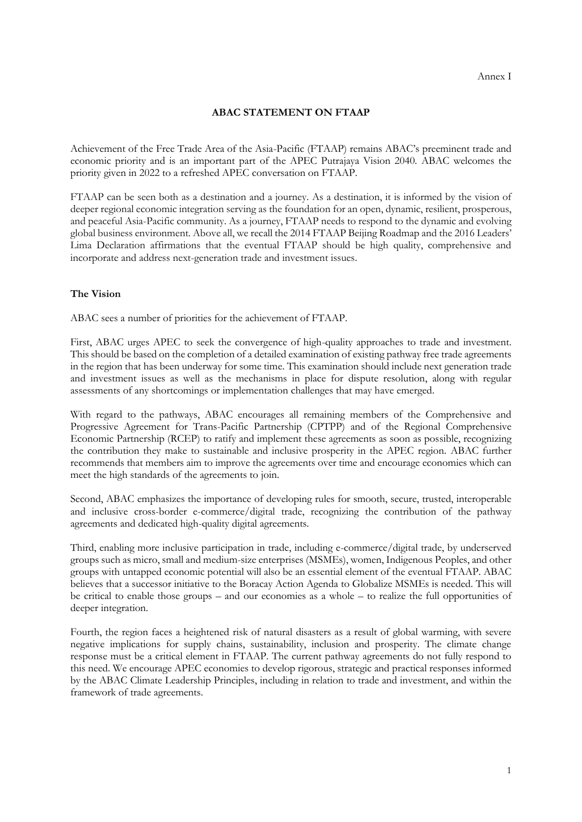## **ABAC STATEMENT ON FTAAP**

Achievement of the Free Trade Area of the Asia-Pacific (FTAAP) remains ABAC's preeminent trade and economic priority and is an important part of the APEC Putrajaya Vision 2040. ABAC welcomes the priority given in 2022 to a refreshed APEC conversation on FTAAP.

FTAAP can be seen both as a destination and a journey. As a destination, it is informed by the vision of deeper regional economic integration serving as the foundation for an open, dynamic, resilient, prosperous, and peaceful Asia-Pacific community. As a journey, FTAAP needs to respond to the dynamic and evolving global business environment. Above all, we recall the 2014 FTAAP Beijing Roadmap and the 2016 Leaders' Lima Declaration affirmations that the eventual FTAAP should be high quality, comprehensive and incorporate and address next-generation trade and investment issues.

## **The Vision**

ABAC sees a number of priorities for the achievement of FTAAP.

First, ABAC urges APEC to seek the convergence of high-quality approaches to trade and investment. This should be based on the completion of a detailed examination of existing pathway free trade agreements in the region that has been underway for some time. This examination should include next generation trade and investment issues as well as the mechanisms in place for dispute resolution, along with regular assessments of any shortcomings or implementation challenges that may have emerged.

With regard to the pathways, ABAC encourages all remaining members of the Comprehensive and Progressive Agreement for Trans-Pacific Partnership (CPTPP) and of the Regional Comprehensive Economic Partnership (RCEP) to ratify and implement these agreements as soon as possible, recognizing the contribution they make to sustainable and inclusive prosperity in the APEC region. ABAC further recommends that members aim to improve the agreements over time and encourage economies which can meet the high standards of the agreements to join.

Second, ABAC emphasizes the importance of developing rules for smooth, secure, trusted, interoperable and inclusive cross-border e-commerce/digital trade, recognizing the contribution of the pathway agreements and dedicated high-quality digital agreements.

Third, enabling more inclusive participation in trade, including e-commerce/digital trade, by underserved groups such as micro, small and medium-size enterprises (MSMEs), women, Indigenous Peoples, and other groups with untapped economic potential will also be an essential element of the eventual FTAAP. ABAC believes that a successor initiative to the Boracay Action Agenda to Globalize MSMEs is needed. This will be critical to enable those groups – and our economies as a whole – to realize the full opportunities of deeper integration.

Fourth, the region faces a heightened risk of natural disasters as a result of global warming, with severe negative implications for supply chains, sustainability, inclusion and prosperity. The climate change response must be a critical element in FTAAP. The current pathway agreements do not fully respond to this need. We encourage APEC economies to develop rigorous, strategic and practical responses informed by the ABAC Climate Leadership Principles, including in relation to trade and investment, and within the framework of trade agreements.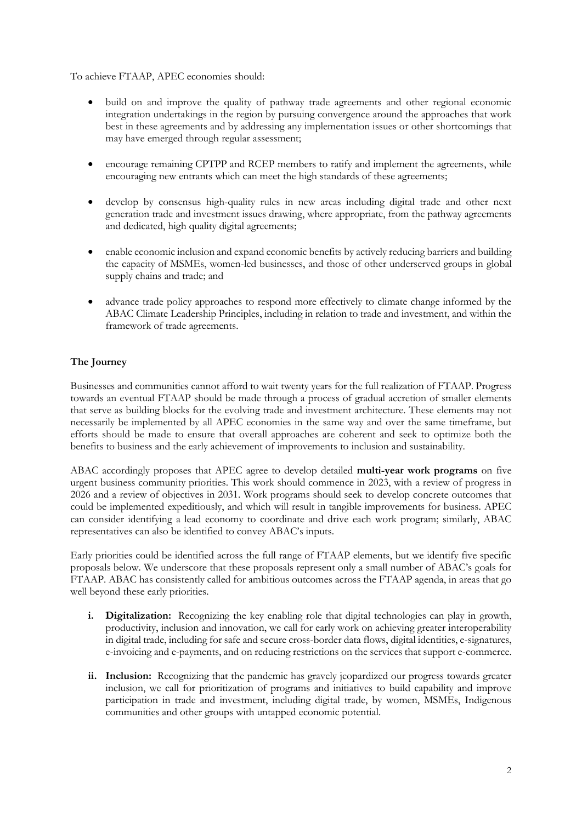To achieve FTAAP, APEC economies should:

- build on and improve the quality of pathway trade agreements and other regional economic integration undertakings in the region by pursuing convergence around the approaches that work best in these agreements and by addressing any implementation issues or other shortcomings that may have emerged through regular assessment;
- encourage remaining CPTPP and RCEP members to ratify and implement the agreements, while encouraging new entrants which can meet the high standards of these agreements;
- develop by consensus high-quality rules in new areas including digital trade and other next generation trade and investment issues drawing, where appropriate, from the pathway agreements and dedicated, high quality digital agreements;
- enable economic inclusion and expand economic benefits by actively reducing barriers and building the capacity of MSMEs, women-led businesses, and those of other underserved groups in global supply chains and trade; and
- advance trade policy approaches to respond more effectively to climate change informed by the ABAC Climate Leadership Principles, including in relation to trade and investment, and within the framework of trade agreements.

## **The Journey**

Businesses and communities cannot afford to wait twenty years for the full realization of FTAAP. Progress towards an eventual FTAAP should be made through a process of gradual accretion of smaller elements that serve as building blocks for the evolving trade and investment architecture. These elements may not necessarily be implemented by all APEC economies in the same way and over the same timeframe, but efforts should be made to ensure that overall approaches are coherent and seek to optimize both the benefits to business and the early achievement of improvements to inclusion and sustainability.

ABAC accordingly proposes that APEC agree to develop detailed **multi-year work programs** on five urgent business community priorities. This work should commence in 2023, with a review of progress in 2026 and a review of objectives in 2031. Work programs should seek to develop concrete outcomes that could be implemented expeditiously, and which will result in tangible improvements for business. APEC can consider identifying a lead economy to coordinate and drive each work program; similarly, ABAC representatives can also be identified to convey ABAC's inputs.

Early priorities could be identified across the full range of FTAAP elements, but we identify five specific proposals below. We underscore that these proposals represent only a small number of ABAC's goals for FTAAP. ABAC has consistently called for ambitious outcomes across the FTAAP agenda, in areas that go well beyond these early priorities.

- **i. Digitalization:** Recognizing the key enabling role that digital technologies can play in growth, productivity, inclusion and innovation, we call for early work on achieving greater interoperability in digital trade, including for safe and secure cross-border data flows, digital identities, e-signatures, e-invoicing and e-payments, and on reducing restrictions on the services that support e-commerce.
- **ii. Inclusion:** Recognizing that the pandemic has gravely jeopardized our progress towards greater inclusion, we call for prioritization of programs and initiatives to build capability and improve participation in trade and investment, including digital trade, by women, MSMEs, Indigenous communities and other groups with untapped economic potential.